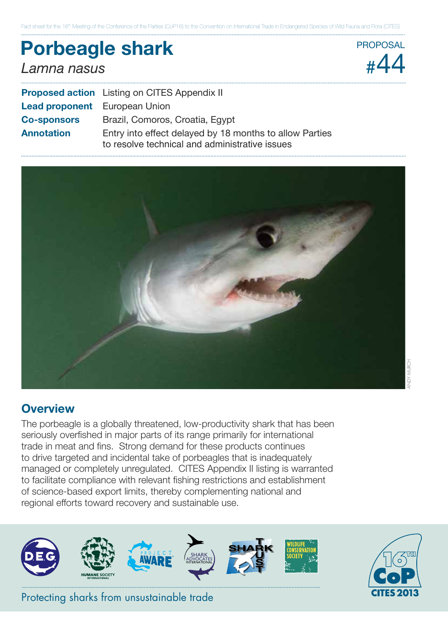# **Porbeagle shark**  *Lamna nasus*

|                                      | Proposed action Listing on CITES Appendix II                                                              |  |
|--------------------------------------|-----------------------------------------------------------------------------------------------------------|--|
| <b>Lead proponent</b> European Union |                                                                                                           |  |
| <b>Co-sponsors</b>                   | Brazil, Comoros, Croatia, Egypt                                                                           |  |
| <b>Annotation</b>                    | Entry into effect delayed by 18 months to allow Parties<br>to resolve technical and administrative issues |  |



# **Overview**

The porbeagle is a globally threatened, low-productivity shark that has been seriously overfished in major parts of its range primarily for international trade in meat and fins. Strong demand for these products continues to drive targeted and incidental take of porbeagles that is inadequately managed or completely unregulated. CITES Appendix II listing is warranted to facilitate compliance with relevant fishing restrictions and establishment of science-based export limits, thereby complementing national and regional efforts toward recovery and sustainable use.



Protecting sharks from unsustainable trade



44 #

**PROPOSAL**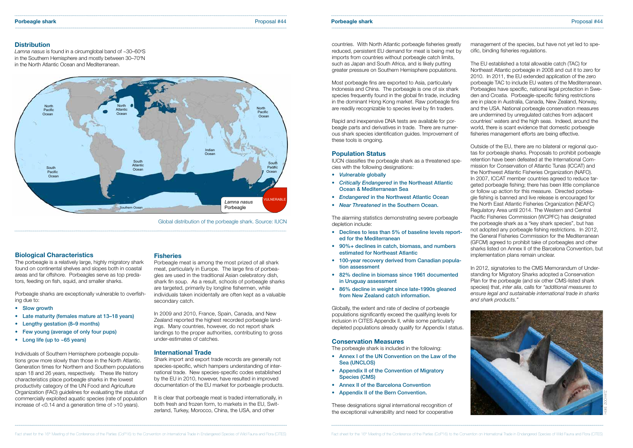# **Distribution**

Lamna nasus is found in a circumglobal band of ~30–60°S in the Southern Hemisphere and mostly between 30-70°N in the North Atlantic Ocean and Mediterranean.

### Proposal #44



#### **Porbeagle shark**

countries. With North Atlantic porbeagle fisheries greatly reduced, persistent EU demand for meat is being met by imports from countries without porbeagle catch limits, such as Japan and South Africa, and is likely putting greater pressure on Southern Hemisphere populations.

Most porbeagle fins are exported to Asia, particularly Indonesia and China. The porbeagle is one of six shark species frequently found in the global fin trade, including in the dominant Hong Kong market. Raw porbeagle fins are readily recognizable to species level by fin traders.

- Declines to less than 5% of baseline levels reported for the Mediterranean
- • 90%+ declines in catch, biomass, and numbers estimated for Northeast Atlantic
- 100-year recovery derived from Canadian population assessment
- • 82% decline in biomass since 1961 documented in Uruguay assessment
- 86% decline in weight since late-1990s gleaned from New Zealand catch information.

Rapid and inexpensive DNA tests are available for porbeagle parts and derivatives in trade. There are numerous shark species identification guides. Improvement of these tools is ongoing.

#### **Population Status**

- Annex I of the UN Convention on the Law of the Sea (UNCLOS)
- Appendix II of the Convention of Migratory Species (CMS)
- • Annex II of the Barcelona Convention
- • Appendix II of the Bern Convention.

IUCN classifies the porbeagle shark as a threatened species with the following designations:

- • *Vulnerable* globally
- • *Critically Endangered* in the Northeast Atlantic Ocean & Mediterranean Sea
- • *Endangered* in the Northwest Atlantic Ocean
- • *Near Threatened* in the Southern Ocean.

The alarming statistics demonstrating severe porbeagle depletion include:

Globally, the extent and rate of decline of porbeagle populations significantly exceed the qualifying levels for inclusion in CITES Appendix II, while some particularly depleted populations already qualify for Appendix I status.

#### **Conservation Measures**

The porbeagle shark is included in the following:

These designations signal international recognition of the exceptional vulnerability and need for cooperative management of the species, but have not yet led to specific, binding fisheries regulations.

The EU established a total allowable catch (TAC) for Northeast Atlantic porbeagle in 2008 and cut it to zero for 2010. In 2011, the EU extended application of the zero porbeagle TAC to include EU waters of the Mediterranean. Porbeagles have specific, national legal protection in Sweden and Croatia. Porbeagle-specific fishing restrictions are in place in Australia, Canada, New Zealand, Norway, and the USA. National porbeagle conservation measures are undermined by unregulated catches from adjacent countries' waters and the high seas. Indeed, around the world, there is scant evidence that domestic porbeagle fisheries management efforts are being effective.

It is clear that porbeagle meat is traded internationally, in both fresh and frozen form, to markets in the EU, Switzerland, Turkey, Morocco, China, the USA, and other

Outside of the EU, there are no bilateral or regional quotas for porbeagle sharks. Proposals to prohibit porbeagle retention have been defeated at the International Commission for Conservation of Atlantic Tunas (ICCAT) and the Northwest Atlantic Fisheries Organization (NAFO). In 2007, ICCAT member countries agreed to reduce targeted porbeagle fishing; there has been little compliance or follow up action for this measure. Directed porbeagle fishing is banned and live release is encouraged for the North East Atlantic Fisheries Organization (NEAFC) Regulatory Area until 2014. The Western and Central Pacific Fisheries Commission (WCPFC) has designated the porbeagle shark as a "key shark species", but has not adopted any porbeagle fishing restrictions. In 2012, the General Fisheries Commission for the Mediterranean (GFCM) agreed to prohibit take of porbeagles and other sharks listed on Annex II of the Barcelona Convention, but implementation plans remain unclear.

In 2012, signatories to the CMS Memorandum of Understanding for Migratory Sharks adopted a Conservation Plan for the porbeagle (and six other CMS-listed shark species) that, *inter alia*, calls for *"additional measures to ensure legal and sustainable international trade in sharks and shark products."*

| Proposal #44 |
|--------------|
|              |

### **Biological Characteristics**

The porbeagle is a relatively large, highly migratory shark found on continental shelves and slopes both in coastal areas and far offshore. Porbeagles serve as top predators, feeding on fish, squid, and smaller sharks.

Porbeagle sharks are exceptionally vulnerable to overfishing due to:

- Slow growth
- • Late maturity (females mature at 13–18 years)
- Lengthy gestation (8-9 months)
- • Few young (average of only four pups)
- Long life (up to ~65 years)

Individuals of Southern Hemisphere porbeagle populations grow more slowly than those in the North Atlantic. Generation times for Northern and Southern populations span 18 and 26 years, respectively. These life history characteristics place porbeagle sharks in the lowest productivity category of the UN Food and Agriculture Organization (FAO) guidelines for evaluating the status of commercially exploited aquatic species (rate of population increase of <0.14 and a generation time of >10 years).

### **Fisheries**

Porbeagle meat is among the most prized of all shark meat, particularly in Europe. The large fins of porbeagles are used in the traditional Asian celebratory dish, shark fin soup. As a result, schools of porbeagle sharks are targeted, primarily by longline fishermen, while individuals taken incidentally are often kept as a valuable secondary catch.

In 2009 and 2010, France, Spain, Canada, and New Zealand reported the highest recorded porbeagle landings. Many countries, however, do not report shark landings to the proper authorities, contributing to gross under-estimates of catches.

## **International Trade**

Shark import and export trade records are generally not species-specific, which hampers understanding of international trade. New species-specific codes established by the EU in 2010, however, have resulted in improved documentation of the EU market for porbeagle products.



#### Global distribution of the porbeagle shark. Source: IUCN